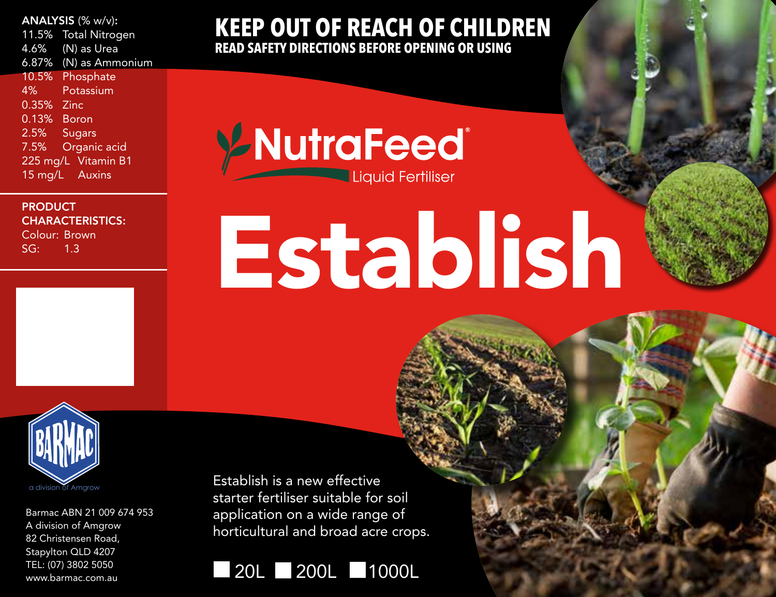### ANALYSIS (% w/v):

11.5% Total Nitrogen 4.6% (N) as Urea 6.87% (N) as Ammonium 10.5% Phosphate 4% Potassium 0.35% Zinc 0.13% Boron 2.5% Sugars 7.5% Organic acid 225 mg/L Vitamin B1 15 mg/L Auxins

**PRODUCT** CHARACTERISTICS: Colour: Brown SG: 1.3

**KEEP OUT OF REACH OF CHILDREN READ SAFETY DIRECTIONS BEFORE OPENING OR USING**

**Y-NutraFeed** Liquid Fertiliser

# Establish



Barmac ABN 21 009 674 953 A division of Amgrow 82 Christensen Road, Stapylton QLD 4207 TEL: (07) 3802 5050 www.barmac.com.au

Establish is a new effective starter fertiliser suitable for soil application on a wide range of horticultural and broad acre crops.